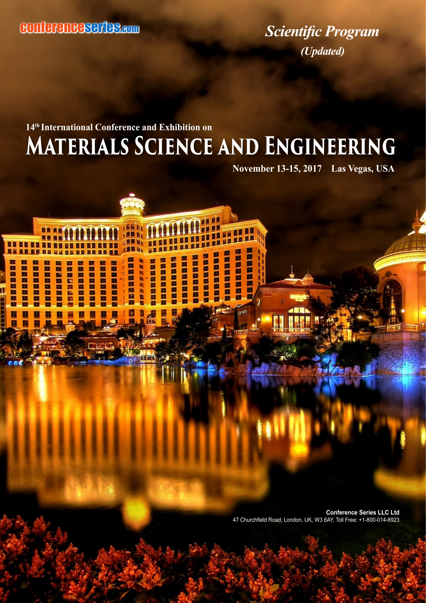**BR RB** 

**BR 88 88 88 88** 

**AR RD 08 88 88** 

**BBBBBB** 

88

目前

88888

**MARRIE BEERE** 

<u>na</u> 88

> **Banda** 問題の意味

88888888

E Ē

Ē E

E

冒回 自日 自日 ПF

**Bandard BEERED**  *Scientific Program (Updated)*

## **Materials Science and Engineering 14th International Conference and Exhibition on**

**11 HB** 

Ē i

Ē

ПЕ

百日日

Ē

AND O

188 81

п

Ē

Ē

Ē

Ē

**JAN, JEBERER** 

ãπ

E

E

ir Fi

国家的复数形式

**1188** 

E

**BROWN** 

日日

г

■ 東西 東西 |

医腹膜突出性咽

■画面画

Ē

i<br>B

**November 13-15, 2017 Las Vegas, USA** 

**Conference Series LLC Ltd** 47 Churchfield Road, London, UK, W3 6AY, Toll Free: +1-800-014-8923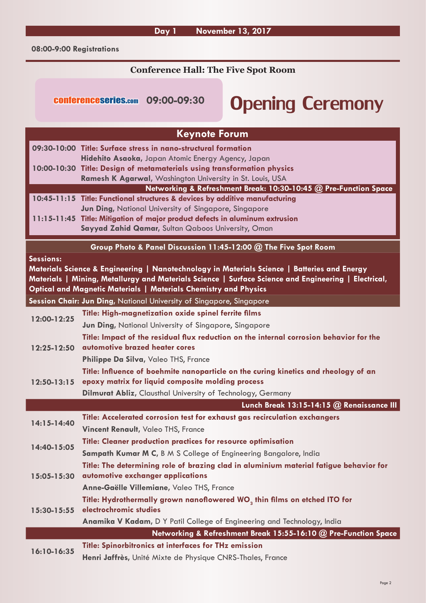**08:00-9:00 Registrations**

#### **Conference Hall: The Five Spot Room**

# Opening Ceremony conferenceseries.com **09:00-09:30**

| <b>Keynote Forum</b>                                                                                                                                                                                                                                                                  |                                                                                                                                       |  |
|---------------------------------------------------------------------------------------------------------------------------------------------------------------------------------------------------------------------------------------------------------------------------------------|---------------------------------------------------------------------------------------------------------------------------------------|--|
|                                                                                                                                                                                                                                                                                       | 09:30-10:00 Title: Surface stress in nano-structural formation                                                                        |  |
|                                                                                                                                                                                                                                                                                       | Hidehito Asaoka, Japan Atomic Energy Agency, Japan                                                                                    |  |
|                                                                                                                                                                                                                                                                                       | 10:00-10:30 Title: Design of metamaterials using transformation physics                                                               |  |
|                                                                                                                                                                                                                                                                                       | Ramesh K Agarwal, Washington University in St. Louis, USA                                                                             |  |
|                                                                                                                                                                                                                                                                                       | Networking & Refreshment Break: 10:30-10:45 @ Pre-Function Space                                                                      |  |
|                                                                                                                                                                                                                                                                                       | 10:45-11:15 Title: Functional structures & devices by additive manufacturing                                                          |  |
|                                                                                                                                                                                                                                                                                       | Jun Ding, National University of Singapore, Singapore<br>11:15-11:45 Title: Mitigation of major product defects in aluminum extrusion |  |
|                                                                                                                                                                                                                                                                                       | Sayyad Zahid Qamar, Sultan Qaboos University, Oman                                                                                    |  |
|                                                                                                                                                                                                                                                                                       |                                                                                                                                       |  |
|                                                                                                                                                                                                                                                                                       | Group Photo & Panel Discussion 11:45-12:00 @ The Five Spot Room                                                                       |  |
| Sessions:<br>Materials Science & Engineering   Nanotechnology in Materials Science   Batteries and Energy<br>Materials   Mining, Metallurgy and Materials Science   Surface Science and Engineering   Electrical,<br>Optical and Magnetic Materials   Materials Chemistry and Physics |                                                                                                                                       |  |
|                                                                                                                                                                                                                                                                                       | Session Chair: Jun Ding, National University of Singapore, Singapore                                                                  |  |
| 12:00-12:25                                                                                                                                                                                                                                                                           | Title: High-magnetization oxide spinel ferrite films                                                                                  |  |
|                                                                                                                                                                                                                                                                                       | <b>Jun Ding, National University of Singapore, Singapore</b>                                                                          |  |
|                                                                                                                                                                                                                                                                                       | Title: Impact of the residual flux reduction on the internal corrosion behavior for the                                               |  |
| 12:25-12:50                                                                                                                                                                                                                                                                           | automotive brazed heater cores                                                                                                        |  |
|                                                                                                                                                                                                                                                                                       | Philippe Da Silva, Valeo THS, France                                                                                                  |  |
|                                                                                                                                                                                                                                                                                       | Title: Influence of boehmite nanoparticle on the curing kinetics and rheology of an                                                   |  |
| 12:50-13:15                                                                                                                                                                                                                                                                           | epoxy matrix for liquid composite molding process                                                                                     |  |
|                                                                                                                                                                                                                                                                                       | <b>Dilmurat Abliz, Clausthal University of Technology, Germany</b>                                                                    |  |
|                                                                                                                                                                                                                                                                                       | Lunch Break 13:15-14:15 @ Renaissance III                                                                                             |  |
| 14:15-14:40                                                                                                                                                                                                                                                                           | Title: Accelerated corrosion test for exhaust gas recirculation exchangers                                                            |  |
|                                                                                                                                                                                                                                                                                       | <b>Vincent Renault, Valeo THS, France</b>                                                                                             |  |
| 14:40-15:05                                                                                                                                                                                                                                                                           | Title: Cleaner production practices for resource optimisation                                                                         |  |
|                                                                                                                                                                                                                                                                                       | Sampath Kumar M C, B M S College of Engineering Bangalore, India                                                                      |  |
| 15:05-15:30                                                                                                                                                                                                                                                                           | Title: The determining role of brazing clad in aluminium material fatigue behavior for                                                |  |
|                                                                                                                                                                                                                                                                                       | automotive exchanger applications                                                                                                     |  |
|                                                                                                                                                                                                                                                                                       | Anne-Gaëlle Villemiane, Valeo THS, France                                                                                             |  |
| $15:30 - 15:55$                                                                                                                                                                                                                                                                       | Title: Hydrothermally grown nanoflowered WO <sub>3</sub> thin films on etched ITO for                                                 |  |
|                                                                                                                                                                                                                                                                                       | electrochromic studies                                                                                                                |  |
|                                                                                                                                                                                                                                                                                       | Anamika V Kadam, D Y Patil College of Engineering and Technology, India                                                               |  |
|                                                                                                                                                                                                                                                                                       | Networking & Refreshment Break 15:55-16:10 @ Pre-Function Space                                                                       |  |
| 16:10-16:35                                                                                                                                                                                                                                                                           | Title: Spinorbitronics at interfaces for THz emission                                                                                 |  |
|                                                                                                                                                                                                                                                                                       | Henri Jaffrès, Unité Mixte de Physique CNRS-Thales, France                                                                            |  |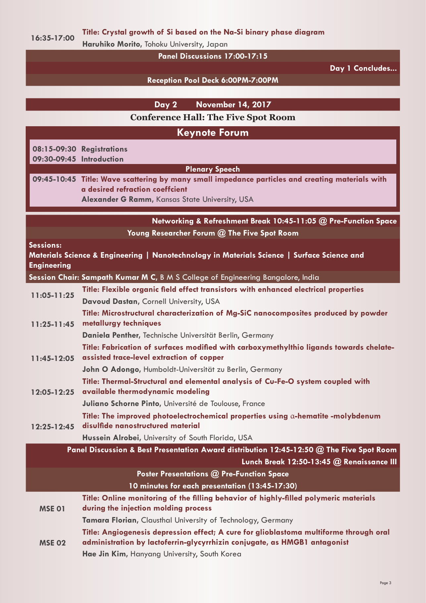**16:35-17:00 Title: Crystal growth of Si based on the Na-Si binary phase diagram**

**Haruhiko Morito,** Tohoku University, Japan

**Panel Discussions 17:00-17:15**

**Day 1 Concludes...**

**Reception Pool Deck 6:00PM-7:00PM**

|                                 | <b>November 14, 2017</b><br>Day 2                                                                                                                                                                                                           |
|---------------------------------|---------------------------------------------------------------------------------------------------------------------------------------------------------------------------------------------------------------------------------------------|
|                                 | <b>Conference Hall: The Five Spot Room</b>                                                                                                                                                                                                  |
|                                 | <b>Keynote Forum</b>                                                                                                                                                                                                                        |
| 09:30-09:45 Introduction        | 08:15-09:30 Registrations                                                                                                                                                                                                                   |
|                                 | <b>Plenary Speech</b><br>09:45-10:45 Title: Wave scattering by many small impedance particles and creating materials with<br>a desired refraction coeffcient<br>Alexander G Ramm, Kansas State University, USA                              |
|                                 | Networking & Refreshment Break 10:45-11:05 @ Pre-Function Space<br>Young Researcher Forum @ The Five Spot Room                                                                                                                              |
| Sessions:<br><b>Engineering</b> | Materials Science & Engineering   Nanotechnology in Materials Science   Surface Science and                                                                                                                                                 |
|                                 | Session Chair: Sampath Kumar M C, B M S College of Engineering Bangalore, India                                                                                                                                                             |
| 11:05-11:25                     | Title: Flexible organic field effect transistors with enhanced electrical properties<br>Davoud Dastan, Cornell University, USA                                                                                                              |
| $11:25 - 11:45$                 | Title: Microstructural characterization of Mg-SiC nanocomposites produced by powder<br>metallurgy techniques<br>Daniela Penther, Technische Universität Berlin, Germany                                                                     |
| 11:45-12:05                     | Title: Fabrication of surfaces modified with carboxymethylthio ligands towards chelate-<br>assisted trace-level extraction of copper                                                                                                        |
| 12:05-12:25                     | John O Adongo, Humboldt-Universität zu Berlin, Germany<br>Title: Thermal-Structural and elemental analysis of Cu-Fe-O system coupled with<br>available thermodynamic modeling                                                               |
| 12:25-12:45                     | Juliano Schorne Pinto, Université de Toulouse, France<br>Title: The improved photoelectrochemical properties using $\alpha$ -hematite -molybdenum<br>disulfide nanostructured material<br>Hussein Alrobei, University of South Florida, USA |
|                                 | Panel Discussion & Best Presentation Award distribution 12:45-12:50 @ The Five Spot Room<br>Lunch Break 12:50-13:45 @ Renaissance III                                                                                                       |
|                                 | <b>Poster Presentations @ Pre-Function Space</b>                                                                                                                                                                                            |
|                                 | 10 minutes for each presentation (13:45-17:30)                                                                                                                                                                                              |
| <b>MSE 01</b>                   | Title: Online monitoring of the filling behavior of highly-filled polymeric materials<br>during the injection molding process                                                                                                               |
|                                 | Tamara Florian, Clausthal University of Technology, Germany                                                                                                                                                                                 |
| <b>MSE 02</b>                   | Title: Angiogenesis depression effect; A cure for glioblastoma multiforme through oral<br>administration by lactoferrin-glycyrrhizin conjugate, as HMGB1 antagonist                                                                         |
|                                 | Hae Jin Kim, Hanyang University, South Korea                                                                                                                                                                                                |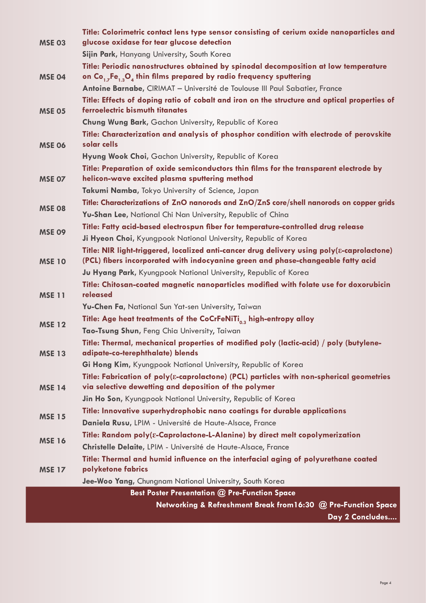|                                                      | Title: Colorimetric contact lens type sensor consisting of cerium oxide nanoparticles and                                                                                                    |  |  |
|------------------------------------------------------|----------------------------------------------------------------------------------------------------------------------------------------------------------------------------------------------|--|--|
| <b>MSE 03</b>                                        | glucose oxidase for tear glucose detection                                                                                                                                                   |  |  |
|                                                      | Sijin Park, Hanyang University, South Korea                                                                                                                                                  |  |  |
|                                                      | Title: Periodic nanostructures obtained by spinodal decomposition at low temperature                                                                                                         |  |  |
| <b>MSE 04</b>                                        | on Co <sub>1.7</sub> Fe <sub>1.3</sub> O <sub>4</sub> thin films prepared by radio frequency sputtering<br>Antoine Barnabe, CIRIMAT - Université de Toulouse III Paul Sabatier, France       |  |  |
|                                                      |                                                                                                                                                                                              |  |  |
| <b>MSE 05</b>                                        | Title: Effects of doping ratio of cobalt and iron on the structure and optical properties of<br>ferroelectric bismuth titanates                                                              |  |  |
|                                                      | Chung Wung Bark, Gachon University, Republic of Korea                                                                                                                                        |  |  |
| <b>MSE 06</b>                                        | Title: Characterization and analysis of phosphor condition with electrode of perovskite<br>solar cells                                                                                       |  |  |
|                                                      | Hyung Wook Choi, Gachon University, Republic of Korea                                                                                                                                        |  |  |
| MSE 07                                               | Title: Preparation of oxide semiconductors thin films for the transparent electrode by<br>helicon-wave excited plasma sputtering method                                                      |  |  |
|                                                      | Takumi Namba, Tokyo University of Science, Japan                                                                                                                                             |  |  |
| <b>MSE 08</b><br><b>MSE 09</b>                       | Title: Characterizations of ZnO nanorods and ZnO/ZnS core/shell nanorods on copper grids                                                                                                     |  |  |
|                                                      | Yu-Shan Lee, National Chi Nan University, Republic of China                                                                                                                                  |  |  |
|                                                      | Title: Fatty acid-based electrospun fiber for temperature-controlled drug release                                                                                                            |  |  |
|                                                      | Ji Hyeon Choi, Kyungpook National University, Republic of Korea                                                                                                                              |  |  |
| <b>MSE 10</b>                                        | Title: NIR light-triggered, localized anti-cancer drug delivery using poly( $\varepsilon$ -caprolactone)<br>(PCL) fibers incorporated with indocyanine green and phase-changeable fatty acid |  |  |
|                                                      | Ju Hyang Park, Kyungpook National University, Republic of Korea                                                                                                                              |  |  |
| <b>MSE 11</b>                                        | Title: Chitosan-coated magnetic nanoparticles modified with folate use for doxorubicin<br>released                                                                                           |  |  |
|                                                      | Yu-Chen Fa, National Sun Yat-sen University, Taiwan                                                                                                                                          |  |  |
| <b>MSE 12</b>                                        | Title: Age heat treatments of the CoCrFeNiTi <sub>ns</sub> high-entropy alloy                                                                                                                |  |  |
|                                                      | Tao-Tsung Shun, Feng Chia University, Taiwan                                                                                                                                                 |  |  |
| <b>MSE 13</b>                                        | Title: Thermal, mechanical properties of modified poly (lactic-acid) / poly (butylene-<br>adipate-co-terephthalate) blends                                                                   |  |  |
|                                                      | Gi Hong Kim, Kyungpook National University, Republic of Korea                                                                                                                                |  |  |
| <b>MSE 14</b>                                        | Title: Fabrication of poly( $\varepsilon$ -caprolactone) (PCL) particles with non-spherical geometries<br>via selective dewetting and deposition of the polymer                              |  |  |
|                                                      | Jin Ho Son, Kyungpook National University, Republic of Korea                                                                                                                                 |  |  |
| <b>MSE 15</b>                                        | Title: Innovative superhydrophobic nano coatings for durable applications                                                                                                                    |  |  |
|                                                      | Daniela Rusu, LPIM - Université de Haute-Alsace, France                                                                                                                                      |  |  |
| <b>MSE 16</b>                                        | Title: Random poly(&-Caprolactone-L-Alanine) by direct melt copolymerization                                                                                                                 |  |  |
|                                                      | Christelle Delaite, LPIM - Université de Haute-Alsace, France                                                                                                                                |  |  |
| <b>MSE 17</b>                                        | Title: Thermal and humid influence on the interfacial aging of polyurethane coated                                                                                                           |  |  |
|                                                      | polyketone fabrics                                                                                                                                                                           |  |  |
|                                                      | Jee-Woo Yang, Chungnam National University, South Korea                                                                                                                                      |  |  |
| <b>Best Poster Presentation @ Pre-Function Space</b> |                                                                                                                                                                                              |  |  |
|                                                      | Networking & Refreshment Break from 16:30 @ Pre-Function Space                                                                                                                               |  |  |

**Day 2 Concludes....**